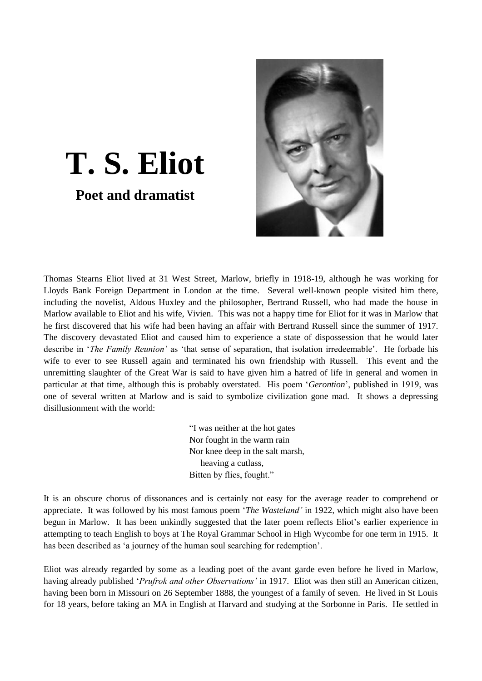## **T. S. Eliot Poet and dramatist**



Thomas Stearns Eliot lived at 31 West Street, Marlow, briefly in 1918-19, although he was working for Lloyds Bank Foreign Department in London at the time. Several well-known people visited him there, including the novelist, Aldous Huxley and the philosopher, Bertrand Russell, who had made the house in Marlow available to Eliot and his wife, Vivien. This was not a happy time for Eliot for it was in Marlow that he first discovered that his wife had been having an affair with Bertrand Russell since the summer of 1917. The discovery devastated Eliot and caused him to experience a state of dispossession that he would later describe in '*The Family Reunion'* as 'that sense of separation, that isolation irredeemable'. He forbade his wife to ever to see Russell again and terminated his own friendship with Russell. This event and the unremitting slaughter of the Great War is said to have given him a hatred of life in general and women in particular at that time, although this is probably overstated. His poem '*Gerontion*', published in 1919, was one of several written at Marlow and is said to symbolize civilization gone mad. It shows a depressing disillusionment with the world:

> "I was neither at the hot gates Nor fought in the warm rain Nor knee deep in the salt marsh, heaving a cutlass, Bitten by flies, fought."

It is an obscure chorus of dissonances and is certainly not easy for the average reader to comprehend or appreciate. It was followed by his most famous poem '*The Wasteland'* in 1922, which might also have been begun in Marlow. It has been unkindly suggested that the later poem reflects Eliot's earlier experience in attempting to teach English to boys at The Royal Grammar School in High Wycombe for one term in 1915. It has been described as 'a journey of the human soul searching for redemption'.

Eliot was already regarded by some as a leading poet of the avant garde even before he lived in Marlow, having already published '*Prufrok and other Observations'* in 1917. Eliot was then still an American citizen, having been born in Missouri on 26 September 1888, the youngest of a family of seven. He lived in St Louis for 18 years, before taking an MA in English at Harvard and studying at the Sorbonne in Paris. He settled in